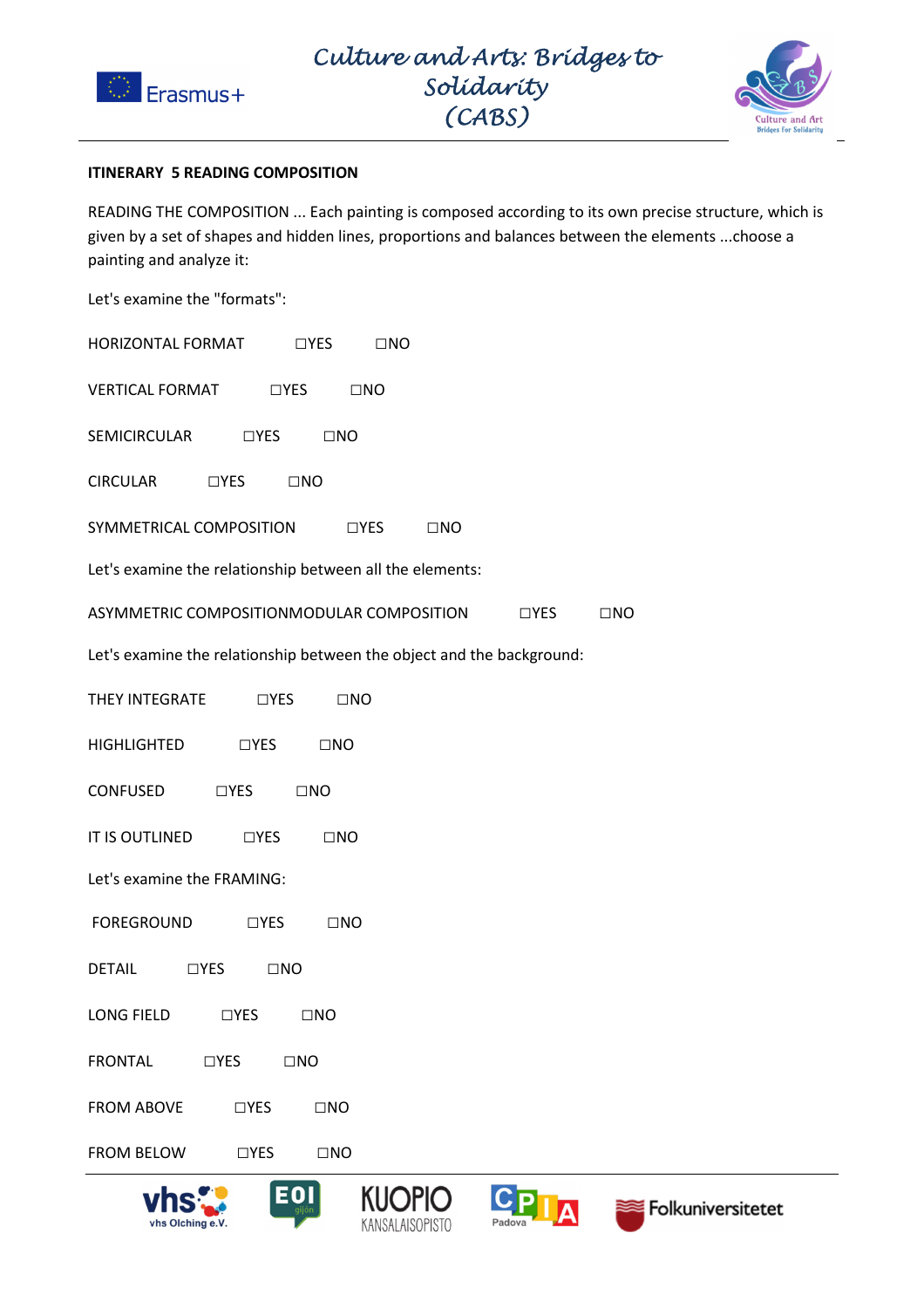



## **ITINERARY 5 READING COMPOSITION**

READING THE COMPOSITION ... Each painting is composed according to its own precise structure, which is given by a set of shapes and hidden lines, proportions and balances between the elements ...choose a painting and analyze it:

Let's examine the "formats":

| HORIZONTAL FORMAT | $\Box$ YES | $\square$ NO |
|-------------------|------------|--------------|
|                   |            |              |

VERTICAL FORMAT TYES TINO

SEMICIRCULAR □YES □NO

CIRCULAR □YES □NO

SYMMETRICAL COMPOSITION □ □YES □NO

Let's examine the relationship between all the elements:

ASYMMETRIC COMPOSITIONMODULAR COMPOSITION □ □YES □NO

Let's examine the relationship between the object and the background:

THEY INTEGRATE □YES □NO

| <b>HIGHLIGHTED</b> | $\Box$ YES | $\square$ NO |
|--------------------|------------|--------------|
|                    |            |              |

CONFUSED □YES □NO

IT IS OUTLINED □YES □NO

Let's examine the FRAMING:

- FOREGROUND □YES □NO
- DETAIL □YES □NO
- LONG FIELD □YES □NO
- FRONTAL □YES □NO
- FROM ABOVE □YES □NO
- FROM BELOW □YES □NO

EOI







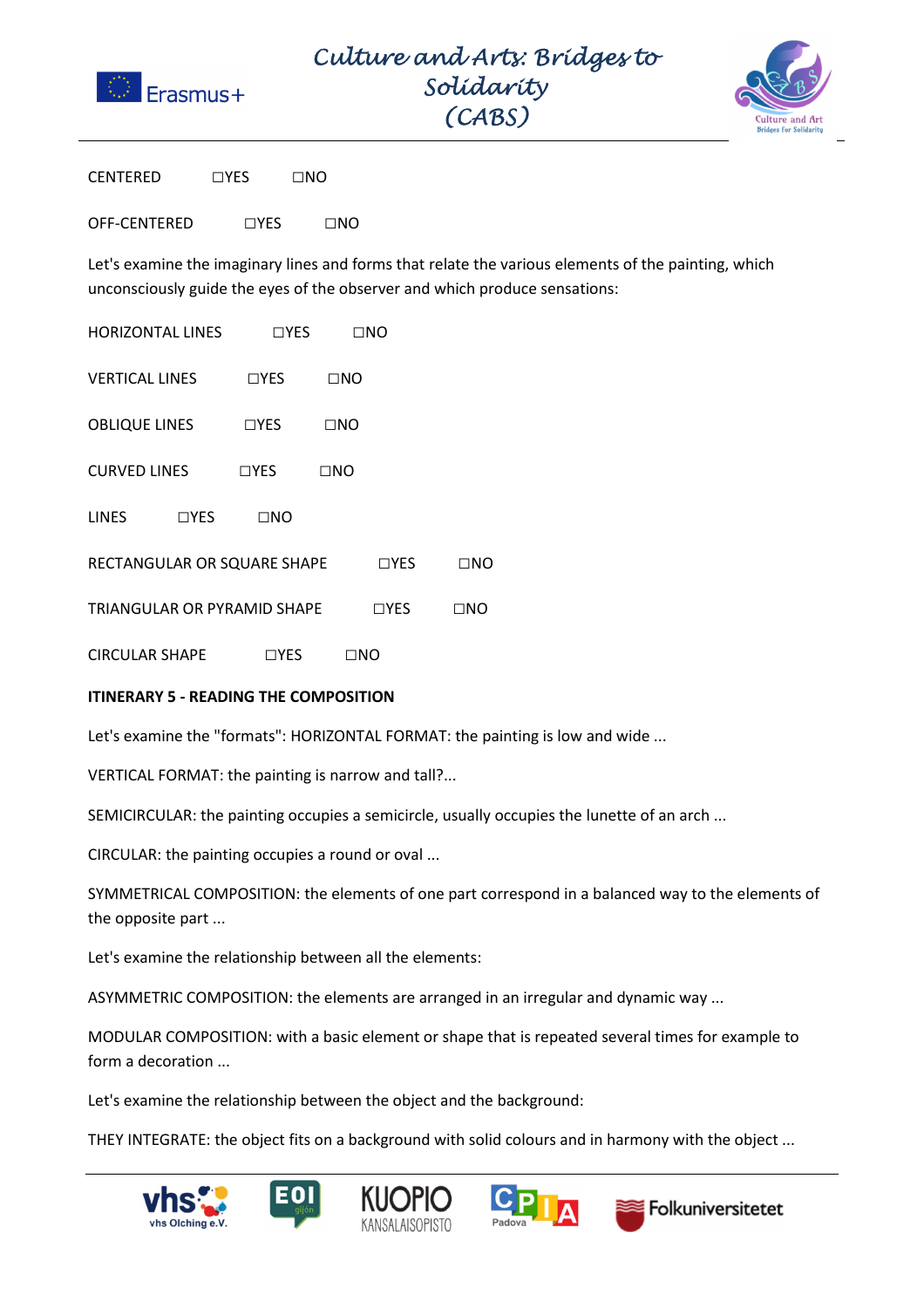

Culture and Arts: Bridges to Solidarity  $\Gamma$  $(ARS)$ 



CENTERED □YES □NO

OFF-CENTERED □YES □NO

Let's examine the imaginary lines and forms that relate the various elements of the painting, which unconsciously guide the eyes of the observer and which produce sensations:

HORIZONTAL LINES □YES □NO

VERTICAL LINES □YES □NO

OBLIQUE LINES □YES □NO

CURVED LINES □YES □NO

LINES □YES □NO

| RECTANGULAR OR SQUARE SHAPE | $\Box$ YES | $\square$ NO |
|-----------------------------|------------|--------------|
|                             |            |              |

TRIANGULAR OR PYRAMID SHAPE □YES □NO

CIRCULAR SHAPE □YES □NO

## **ITINERARY 5 - READING THE COMPOSITION**

Let's examine the "formats": HORIZONTAL FORMAT: the painting is low and wide ...

VERTICAL FORMAT: the painting is narrow and tall?...

SEMICIRCULAR: the painting occupies a semicircle, usually occupies the lunette of an arch ...

CIRCULAR: the painting occupies a round or oval ...

SYMMETRICAL COMPOSITION: the elements of one part correspond in a balanced way to the elements of the opposite part ...

Let's examine the relationship between all the elements:

ASYMMETRIC COMPOSITION: the elements are arranged in an irregular and dynamic way ...

MODULAR COMPOSITION: with a basic element or shape that is repeated several times for example to form a decoration ...

Let's examine the relationship between the object and the background:

THEY INTEGRATE: the object fits on a background with solid colours and in harmony with the object ...